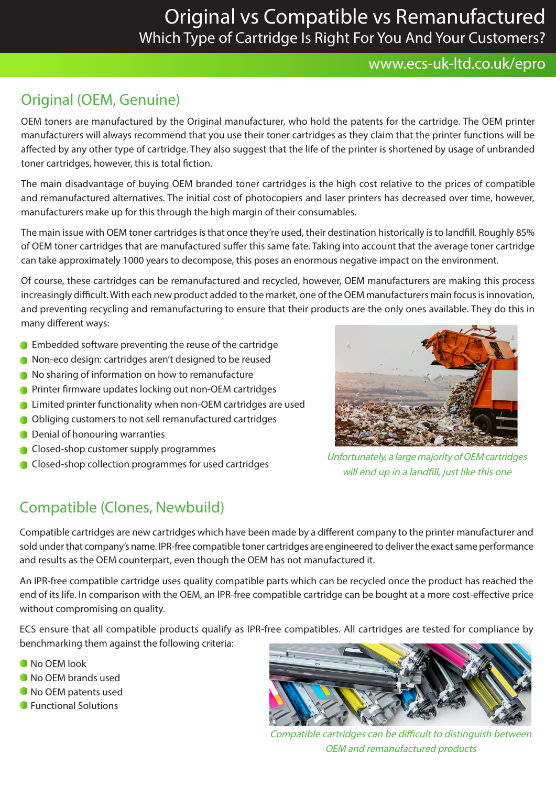# Original vs Compatible vs Remanufactured Which Type of Cartridge Is Right For You And Your Customers?

#### www.ecs-uk-ltd.co.uk/epro

## Original (OEM, Genuine)

OEM toners are manufactured by the Original manufacturer, who hold the patents for the cartridge. The OEM printer manufacturers will always recommend that you use their toner cartridges as they claim that the printer functions will be affected by any other type of cartridge. They also suggest that the life of the printer is shortened by usage of unbranded toner cartridges, however, this is total fiction.

The main disadvantage of buying OEM branded toner cartridges is the high cost relative to the prices of compatible and remanufactured alternatives. The initial cost of photocopiers and laser printers has decreased over time, however, manufacturers make up for this through the high margin of their consumables.

The main issue with OEM toner cartridges is that once they're used, their destination historically is to landfill. Roughly 85% of OEM toner cartridges that are manufactured suffer this same fate. Taking into account that the average toner cartridge can take approximately 1000 years to decompose, this poses an enormous negative impact on the environment.

Of course, these cartridges can be remanufactured and recycled, however, OEM manufacturers are making this process increasingly difficult. With each new product added to the market, one of the OEM manufacturers main focus is innovation, and preventing recycling and remanufacturing to ensure that their products are the only ones available. They do this in many different ways:

- **Embedded software preventing the reuse of the cartridge**
- Non-eco design: cartridges aren't designed to be reused
- $\bullet$  No sharing of information on how to remanufacture
- **Printer firmware updates locking out non-OEM cartridges**
- **Conducts** Limited printer functionality when non-OEM cartridges are used
- Obliging customers to not sell remanufactured cartridges
- **O** Denial of honouring warranties
- **Closed-shop customer supply programmes**
- 

### Compatible (Clones, Newbuild)

Collection collection programmes for used cartridges<br>Closed-shop collection programmes for used cartridges will end up in a landfill, just like this one

Compatible cartridges are new cartridges which have been made by a different company to the printer manufacturer and sold under that company's name. IPR-free compatible toner cartridges are engineered to deliver the exact same performance and results as the OEM counterpart, even though the OEM has not manufactured it.

An IPR-free compatible cartridge uses quality compatible parts which can be recycled once the product has reached the end of its life. In comparison with the OEM, an IPR-free compatible cartridge can be bought at a more cost-effective price without compromising on quality.

ECS ensure that all compatible products qualify as IPR-free compatibles. All cartridges are tested for compliance by benchmarking them against the following criteria:

- No OEM look
- $\bullet$  No OEM brands used
- $\bullet$  No OEM patents used
- **Functional Solutions**



Compatible cartridges can be difficult to distinguish between OEM and remanufactured products